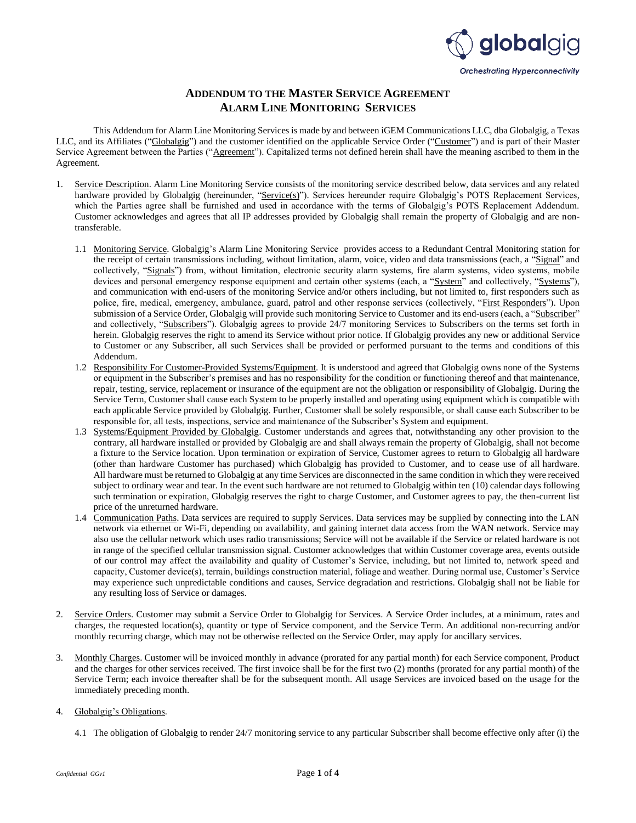

## **ADDENDUM TO THE MASTER SERVICE AGREEMENT ALARM LINE MONITORING SERVICES**

This Addendum for Alarm Line Monitoring Services is made by and between iGEM Communications LLC, dba Globalgig, a Texas LLC, and its Affiliates ("Globalgig") and the customer identified on the applicable Service Order ("Customer") and is part of their Master Service Agreement between the Parties ("Agreement"). Capitalized terms not defined herein shall have the meaning ascribed to them in the Agreement.

- 1. Service Description. Alarm Line Monitoring Service consists of the monitoring service described below, data services and any related hardware provided by Globalgig (hereinunder, "Service(s)"). Services hereunder require Globalgig's POTS Replacement Services, which the Parties agree shall be furnished and used in accordance with the terms of Globalgig's POTS Replacement Addendum. Customer acknowledges and agrees that all IP addresses provided by Globalgig shall remain the property of Globalgig and are nontransferable.
	- 1.1 Monitoring Service. Globalgig's Alarm Line Monitoring Service provides access to a Redundant Central Monitoring station for the receipt of certain transmissions including, without limitation, alarm, voice, video and data transmissions (each, a "Signal" and collectively, "Signals") from, without limitation, electronic security alarm systems, fire alarm systems, video systems, mobile devices and personal emergency response equipment and certain other systems (each, a "System" and collectively, "Systems"), and communication with end-users of the monitoring Service and/or others including, but not limited to, first responders such as police, fire, medical, emergency, ambulance, guard, patrol and other response services (collectively, "First Responders"). Upon submission of a Service Order, Globalgig will provide such monitoring Service to Customer and its end-users (each, a "Subscriber" and collectively, "Subscribers"). Globalgig agrees to provide 24/7 monitoring Services to Subscribers on the terms set forth in herein. Globalgig reserves the right to amend its Service without prior notice. If Globalgig provides any new or additional Service to Customer or any Subscriber, all such Services shall be provided or performed pursuant to the terms and conditions of this Addendum.
	- 1.2 Responsibility For Customer-Provided Systems/Equipment. It is understood and agreed that Globalgig owns none of the Systems or equipment in the Subscriber's premises and has no responsibility for the condition or functioning thereof and that maintenance, repair, testing, service, replacement or insurance of the equipment are not the obligation or responsibility of Globalgig. During the Service Term, Customer shall cause each System to be properly installed and operating using equipment which is compatible with each applicable Service provided by Globalgig. Further, Customer shall be solely responsible, or shall cause each Subscriber to be responsible for, all tests, inspections, service and maintenance of the Subscriber's System and equipment.
	- 1.3 Systems/Equipment Provided by Globalgig. Customer understands and agrees that, notwithstanding any other provision to the contrary, all hardware installed or provided by Globalgig are and shall always remain the property of Globalgig, shall not become a fixture to the Service location. Upon termination or expiration of Service, Customer agrees to return to Globalgig all hardware (other than hardware Customer has purchased) which Globalgig has provided to Customer, and to cease use of all hardware. All hardware must be returned to Globalgig at any time Services are disconnected in the same condition in which they were received subject to ordinary wear and tear. In the event such hardware are not returned to Globalgig within ten (10) calendar days following such termination or expiration, Globalgig reserves the right to charge Customer, and Customer agrees to pay, the then-current list price of the unreturned hardware.
	- 1.4 Communication Paths. Data services are required to supply Services. Data services may be supplied by connecting into the LAN network via ethernet or Wi-Fi, depending on availability, and gaining internet data access from the WAN network. Service may also use the cellular network which uses radio transmissions; Service will not be available if the Service or related hardware is not in range of the specified cellular transmission signal. Customer acknowledges that within Customer coverage area, events outside of our control may affect the availability and quality of Customer's Service, including, but not limited to, network speed and capacity, Customer device(s), terrain, buildings construction material, foliage and weather. During normal use, Customer's Service may experience such unpredictable conditions and causes, Service degradation and restrictions. Globalgig shall not be liable for any resulting loss of Service or damages.
- 2. Service Orders. Customer may submit a Service Order to Globalgig for Services. A Service Order includes, at a minimum, rates and charges, the requested location(s), quantity or type of Service component, and the Service Term. An additional non-recurring and/or monthly recurring charge, which may not be otherwise reflected on the Service Order, may apply for ancillary services.
- 3. Monthly Charges. Customer will be invoiced monthly in advance (prorated for any partial month) for each Service component, Product and the charges for other services received. The first invoice shall be for the first two (2) months (prorated for any partial month) of the Service Term; each invoice thereafter shall be for the subsequent month. All usage Services are invoiced based on the usage for the immediately preceding month.

## 4. Globalgig's Obligations.

4.1 The obligation of Globalgig to render 24/7 monitoring service to any particular Subscriber shall become effective only after (i) the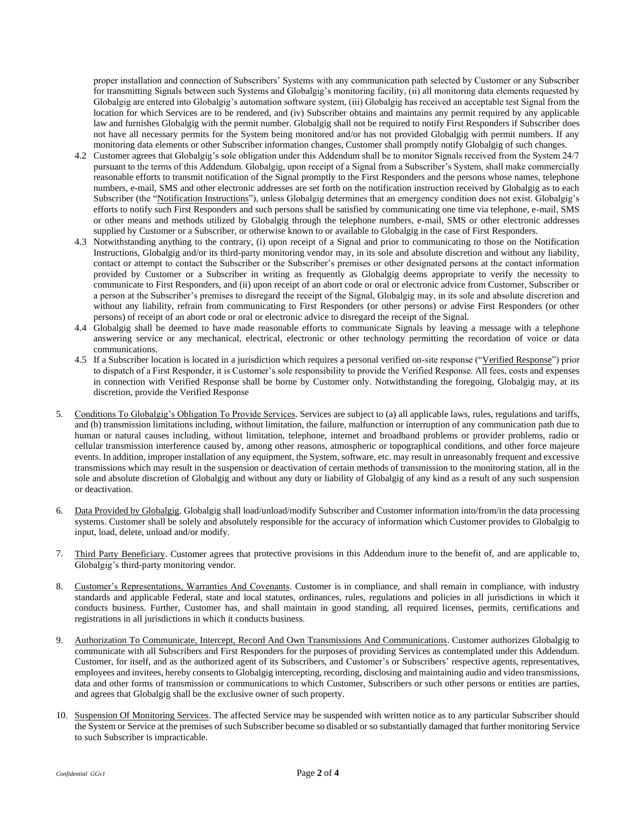proper installation and connection of Subscribers' Systems with any communication path selected by Customer or any Subscriber for transmitting Signals between such Systems and Globalgig's monitoring facility, (ii) all monitoring data elements requested by Globalgig are entered into Globalgig's automation software system, (iii) Globalgig has received an acceptable test Signal from the location for which Services are to be rendered, and (iv) Subscriber obtains and maintains any permit required by any applicable law and furnishes Globalgig with the permit number. Globalgig shall not be required to notify First Responders if Subscriber does not have all necessary permits for the System being monitored and/or has not provided Globalgig with permit numbers. If any monitoring data elements or other Subscriber information changes, Customer shall promptly notify Globalgig of such changes.

- 4.2 Customer agrees that Globalgig's sole obligation under this Addendum shall be to monitor Signals received from the System 24/7 pursuant to the terms of this Addendum. Globalgig, upon receipt of a Signal from a Subscriber's System, shall make commercially reasonable efforts to transmit notification of the Signal promptly to the First Responders and the persons whose names, telephone numbers, e-mail, SMS and other electronic addresses are set forth on the notification instruction received by Globalgig as to each Subscriber (the "Notification Instructions"), unless Globalgig determines that an emergency condition does not exist. Globalgig's efforts to notify such First Responders and such persons shall be satisfied by communicating one time via telephone, e-mail, SMS or other means and methods utilized by Globalgig through the telephone numbers, e-mail, SMS or other electronic addresses supplied by Customer or a Subscriber, or otherwise known to or available to Globalgig in the case of First Responders.
- 4.3 Notwithstanding anything to the contrary, (i) upon receipt of a Signal and prior to communicating to those on the Notification Instructions, Globalgig and/or its third-party monitoring vendor may, in its sole and absolute discretion and without any liability, contact or attempt to contact the Subscriber or the Subscriber's premises or other designated persons at the contact information provided by Customer or a Subscriber in writing as frequently as Globalgig deems appropriate to verify the necessity to communicate to First Responders, and (ii) upon receipt of an abort code or oral or electronic advice from Customer, Subscriber or a person at the Subscriber's premises to disregard the receipt of the Signal, Globalgig may, in its sole and absolute discretion and without any liability, refrain from communicating to First Responders (or other persons) or advise First Responders (or other persons) of receipt of an abort code or oral or electronic advice to disregard the receipt of the Signal.
- 4.4 Globalgig shall be deemed to have made reasonable efforts to communicate Signals by leaving a message with a telephone answering service or any mechanical, electrical, electronic or other technology permitting the recordation of voice or data communications.
- 4.5 If a Subscriber location is located in a jurisdiction which requires a personal verified on-site response ("Verified Response") prior to dispatch of a First Responder, it is Customer's sole responsibility to provide the Verified Response. All fees, costs and expenses in connection with Verified Response shall be borne by Customer only. Notwithstanding the foregoing, Globalgig may, at its discretion, provide the Verified Response
- 5. Conditions To Globalgig's Obligation To Provide Services. Services are subject to (a) all applicable laws, rules, regulations and tariffs, and (b) transmission limitations including, without limitation, the failure, malfunction or interruption of any communication path due to human or natural causes including, without limitation, telephone, internet and broadband problems or provider problems, radio or cellular transmission interference caused by, among other reasons, atmospheric or topographical conditions, and other force majeure events. In addition, improper installation of any equipment, the System, software, etc. may result in unreasonably frequent and excessive transmissions which may result in the suspension or deactivation of certain methods of transmission to the monitoring station, all in the sole and absolute discretion of Globalgig and without any duty or liability of Globalgig of any kind as a result of any such suspension or deactivation.
- 6. Data Provided by Globalgig. Globalgig shall load/unload/modify Subscriber and Customer information into/from/in the data processing systems. Customer shall be solely and absolutely responsible for the accuracy of information which Customer provides to Globalgig to input, load, delete, unload and/or modify.
- 7. Third Party Beneficiary. Customer agrees that protective provisions in this Addendum inure to the benefit of, and are applicable to, Globalgig's third-party monitoring vendor.
- 8. Customer's Representations, Warranties And Covenants. Customer is in compliance, and shall remain in compliance, with industry standards and applicable Federal, state and local statutes, ordinances, rules, regulations and policies in all jurisdictions in which it conducts business. Further, Customer has, and shall maintain in good standing, all required licenses, permits, certifications and registrations in all jurisdictions in which it conducts business.
- 9. Authorization To Communicate, Intercept, Record And Own Transmissions And Communications. Customer authorizes Globalgig to communicate with all Subscribers and First Responders for the purposes of providing Services as contemplated under this Addendum. Customer, for itself, and as the authorized agent of its Subscribers, and Customer's or Subscribers' respective agents, representatives, employees and invitees, hereby consents to Globalgig intercepting, recording, disclosing and maintaining audio and video transmissions, data and other forms of transmission or communications to which Customer, Subscribers or such other persons or entities are parties, and agrees that Globalgig shall be the exclusive owner of such property.
- 10. Suspension Of Monitoring Services. The affected Service may be suspended with written notice as to any particular Subscriber should the System or Service at the premises of such Subscriber become so disabled or so substantially damaged that further monitoring Service to such Subscriber is impracticable.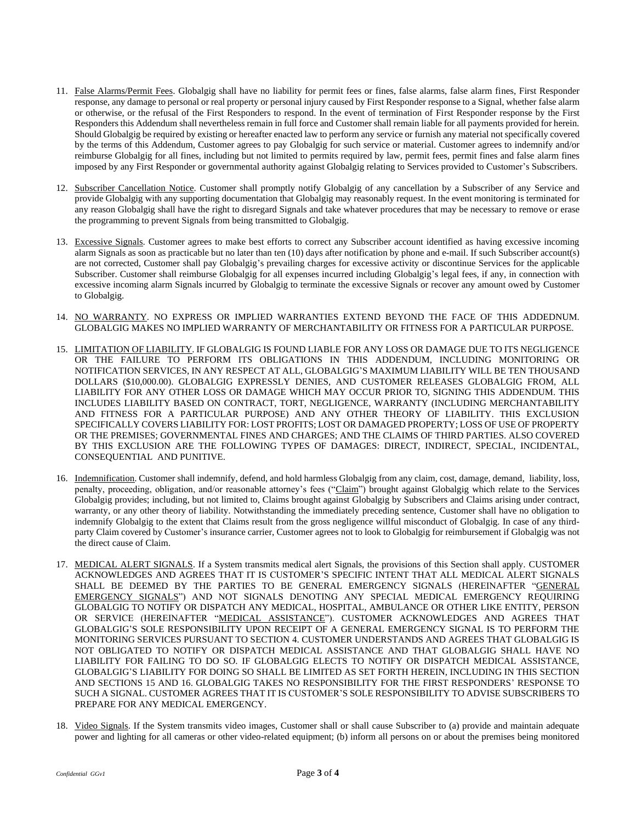- 11. False Alarms/Permit Fees. Globalgig shall have no liability for permit fees or fines, false alarms, false alarm fines, First Responder response, any damage to personal or real property or personal injury caused by First Responder response to a Signal, whether false alarm or otherwise, or the refusal of the First Responders to respond. In the event of termination of First Responder response by the First Responders this Addendum shall nevertheless remain in full force and Customer shall remain liable for all payments provided for herein. Should Globalgig be required by existing or hereafter enacted law to perform any service or furnish any material not specifically covered by the terms of this Addendum, Customer agrees to pay Globalgig for such service or material. Customer agrees to indemnify and/or reimburse Globalgig for all fines, including but not limited to permits required by law, permit fees, permit fines and false alarm fines imposed by any First Responder or governmental authority against Globalgig relating to Services provided to Customer's Subscribers.
- 12. Subscriber Cancellation Notice. Customer shall promptly notify Globalgig of any cancellation by a Subscriber of any Service and provide Globalgig with any supporting documentation that Globalgig may reasonably request. In the event monitoring is terminated for any reason Globalgig shall have the right to disregard Signals and take whatever procedures that may be necessary to remove or erase the programming to prevent Signals from being transmitted to Globalgig.
- 13. Excessive Signals. Customer agrees to make best efforts to correct any Subscriber account identified as having excessive incoming alarm Signals as soon as practicable but no later than ten (10) days after notification by phone and e-mail. If such Subscriber account(s) are not corrected, Customer shall pay Globalgig's prevailing charges for excessive activity or discontinue Services for the applicable Subscriber. Customer shall reimburse Globalgig for all expenses incurred including Globalgig's legal fees, if any, in connection with excessive incoming alarm Signals incurred by Globalgig to terminate the excessive Signals or recover any amount owed by Customer to Globalgig.
- 14. NO WARRANTY. NO EXPRESS OR IMPLIED WARRANTIES EXTEND BEYOND THE FACE OF THIS ADDEDNUM. GLOBALGIG MAKES NO IMPLIED WARRANTY OF MERCHANTABILITY OR FITNESS FOR A PARTICULAR PURPOSE.
- 15. LIMITATION OF LIABILITY. IF GLOBALGIG IS FOUND LIABLE FOR ANY LOSS OR DAMAGE DUE TO ITS NEGLIGENCE OR THE FAILURE TO PERFORM ITS OBLIGATIONS IN THIS ADDENDUM, INCLUDING MONITORING OR NOTIFICATION SERVICES, IN ANY RESPECT AT ALL, GLOBALGIG'S MAXIMUM LIABILITY WILL BE TEN THOUSAND DOLLARS (\$10,000.00). GLOBALGIG EXPRESSLY DENIES, AND CUSTOMER RELEASES GLOBALGIG FROM, ALL LIABILITY FOR ANY OTHER LOSS OR DAMAGE WHICH MAY OCCUR PRIOR TO, SIGNING THIS ADDENDUM. THIS INCLUDES LIABILITY BASED ON CONTRACT, TORT, NEGLIGENCE, WARRANTY (INCLUDING MERCHANTABILITY AND FITNESS FOR A PARTICULAR PURPOSE) AND ANY OTHER THEORY OF LIABILITY. THIS EXCLUSION SPECIFICALLY COVERS LIABILITY FOR: LOST PROFITS; LOST OR DAMAGED PROPERTY; LOSS OF USE OF PROPERTY OR THE PREMISES; GOVERNMENTAL FINES AND CHARGES; AND THE CLAIMS OF THIRD PARTIES. ALSO COVERED BY THIS EXCLUSION ARE THE FOLLOWING TYPES OF DAMAGES: DIRECT, INDIRECT, SPECIAL, INCIDENTAL, CONSEQUENTIAL AND PUNITIVE.
- 16. Indemnification. Customer shall indemnify, defend, and hold harmless Globalgig from any claim, cost, damage, demand, liability, loss, penalty, proceeding, obligation, and/or reasonable attorney's fees ("Claim") brought against Globalgig which relate to the Services Globalgig provides; including, but not limited to, Claims brought against Globalgig by Subscribers and Claims arising under contract, warranty, or any other theory of liability. Notwithstanding the immediately preceding sentence, Customer shall have no obligation to indemnify Globalgig to the extent that Claims result from the gross negligence willful misconduct of Globalgig. In case of any thirdparty Claim covered by Customer's insurance carrier, Customer agrees not to look to Globalgig for reimbursement if Globalgig was not the direct cause of Claim.
- 17. MEDICAL ALERT SIGNALS. If a System transmits medical alert Signals, the provisions of this Section shall apply. CUSTOMER ACKNOWLEDGES AND AGREES THAT IT IS CUSTOMER'S SPECIFIC INTENT THAT ALL MEDICAL ALERT SIGNALS SHALL BE DEEMED BY THE PARTIES TO BE GENERAL EMERGENCY SIGNALS (HEREINAFTER "GENERAL EMERGENCY SIGNALS") AND NOT SIGNALS DENOTING ANY SPECIAL MEDICAL EMERGENCY REQUIRING GLOBALGIG TO NOTIFY OR DISPATCH ANY MEDICAL, HOSPITAL, AMBULANCE OR OTHER LIKE ENTITY, PERSON OR SERVICE (HEREINAFTER "MEDICAL ASSISTANCE"). CUSTOMER ACKNOWLEDGES AND AGREES THAT GLOBALGIG'S SOLE RESPONSIBILITY UPON RECEIPT OF A GENERAL EMERGENCY SIGNAL IS TO PERFORM THE MONITORING SERVICES PURSUANT TO SECTION 4. CUSTOMER UNDERSTANDS AND AGREES THAT GLOBALGIG IS NOT OBLIGATED TO NOTIFY OR DISPATCH MEDICAL ASSISTANCE AND THAT GLOBALGIG SHALL HAVE NO LIABILITY FOR FAILING TO DO SO. IF GLOBALGIG ELECTS TO NOTIFY OR DISPATCH MEDICAL ASSISTANCE, GLOBALGIG'S LIABILITY FOR DOING SO SHALL BE LIMITED AS SET FORTH HEREIN, INCLUDING IN THIS SECTION AND SECTIONS 15 AND 16. GLOBALGIG TAKES NO RESPONSIBILITY FOR THE FIRST RESPONDERS' RESPONSE TO SUCH A SIGNAL. CUSTOMER AGREES THAT IT IS CUSTOMER'S SOLE RESPONSIBILITY TO ADVISE SUBSCRIBERS TO PREPARE FOR ANY MEDICAL EMERGENCY.
- 18. Video Signals. If the System transmits video images, Customer shall or shall cause Subscriber to (a) provide and maintain adequate power and lighting for all cameras or other video-related equipment; (b) inform all persons on or about the premises being monitored